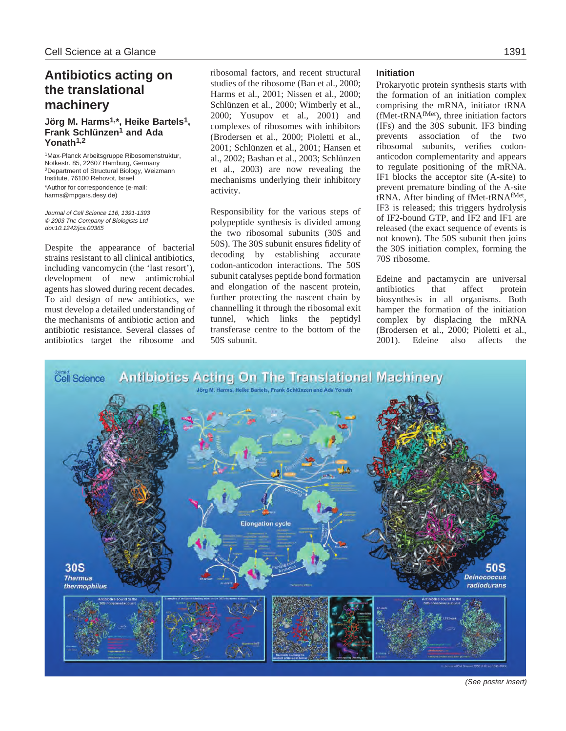# **Antibiotics acting on the translational machinery**

# **Jörg M. Harms1,\*, Heike Bartels1, Frank Schlünzen1 and Ada Yonath1,2**

1Max-Planck Arbeitsgruppe Ribosomenstruktur, Notkestr. 85, 22607 Hamburg, Germany <sup>2</sup>Department of Structural Biology, Weizmann Institute, 76100 Rehovot, Israel \*Author for correspondence (e-mail: harms@mpgars.desy.de)

Journal of Cell Science 116, 1391-1393 © 2003 The Company of Biologists Ltd doi:10.1242/jcs.00365

Despite the appearance of bacterial strains resistant to all clinical antibiotics, including vancomycin (the 'last resort'), development of new antimicrobial agents has slowed during recent decades. To aid design of new antibiotics, we must develop a detailed understanding of the mechanisms of antibiotic action and antibiotic resistance. Several classes of antibiotics target the ribosome and ribosomal factors, and recent structural studies of the ribosome (Ban et al., 2000; Harms et al., 2001; Nissen et al., 2000; Schlünzen et al., 2000; Wimberly et al., 2000; Yusupov et al., 2001) and complexes of ribosomes with inhibitors (Brodersen et al., 2000; Pioletti et al., 2001; Schlünzen et al., 2001; Hansen et al., 2002; Bashan et al., 2003; Schlünzen et al., 2003) are now revealing the mechanisms underlying their inhibitory activity.

Responsibility for the various steps of polypeptide synthesis is divided among the two ribosomal subunits (30S and 50S). The 30S subunit ensures fidelity of decoding by establishing accurate codon-anticodon interactions. The 50S subunit catalyses peptide bond formation and elongation of the nascent protein, further protecting the nascent chain by channelling it through the ribosomal exit tunnel, which links the peptidyl transferase centre to the bottom of the 50S subunit.

#### **Initiation**

Prokaryotic protein synthesis starts with the formation of an initiation complex comprising the mRNA, initiator tRNA (fMet-tRNAfMet), three initiation factors (IFs) and the 30S subunit. IF3 binding prevents association of the two ribosomal subunits, verifies codonanticodon complementarity and appears to regulate positioning of the mRNA. IF1 blocks the acceptor site (A-site) to prevent premature binding of the A-site tRNA. After binding of fMet-tRNAfMet, IF3 is released; this triggers hydrolysis of IF2-bound GTP, and IF2 and IF1 are released (the exact sequence of events is not known). The 50S subunit then joins the 30S initiation complex, forming the 70S ribosome.

Edeine and pactamycin are universal antibiotics that affect protein biosynthesis in all organisms. Both hamper the formation of the initiation complex by displacing the mRNA (Brodersen et al., 2000; Pioletti et al., 2001). Edeine also affects the



(See poster insert)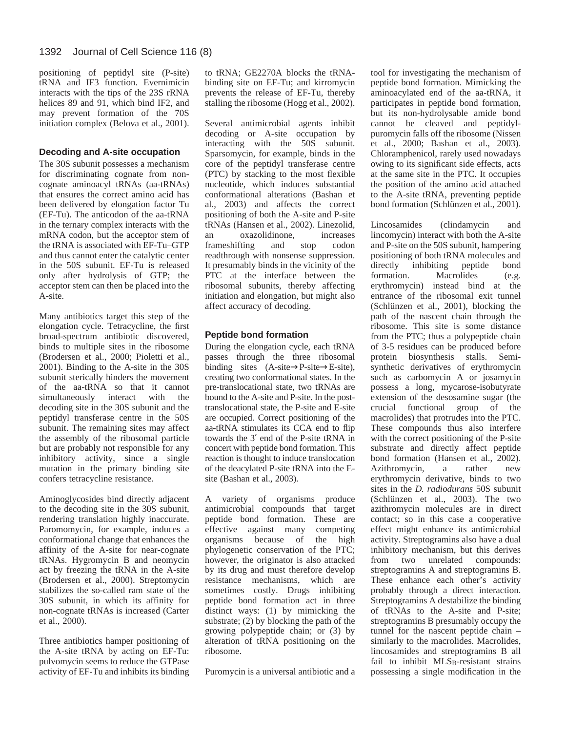positioning of peptidyl site (P-site) tRNA and IF3 function. Evernimicin interacts with the tips of the 23S rRNA helices 89 and 91, which bind IF2, and may prevent formation of the 70S initiation complex (Belova et al., 2001).

# **Decoding and A-site occupation**

The 30S subunit possesses a mechanism for discriminating cognate from noncognate aminoacyl tRNAs (aa-tRNAs) that ensures the correct amino acid has been delivered by elongation factor Tu (EF-Tu). The anticodon of the aa-tRNA in the ternary complex interacts with the mRNA codon, but the acceptor stem of the tRNA is associated with EF-Tu–GTP and thus cannot enter the catalytic center in the 50S subunit. EF-Tu is released only after hydrolysis of GTP; the acceptor stem can then be placed into the A-site.

Many antibiotics target this step of the elongation cycle. Tetracycline, the first broad-spectrum antibiotic discovered, binds to multiple sites in the ribosome (Brodersen et al., 2000; Pioletti et al., 2001). Binding to the A-site in the 30S subunit sterically hinders the movement of the aa-tRNA so that it cannot simultaneously interact with the decoding site in the 30S subunit and the peptidyl transferase centre in the 50S subunit. The remaining sites may affect the assembly of the ribosomal particle but are probably not responsible for any inhibitory activity, since a single mutation in the primary binding site confers tetracycline resistance.

Aminoglycosides bind directly adjacent to the decoding site in the 30S subunit, rendering translation highly inaccurate. Paromomycin, for example, induces a conformational change that enhances the affinity of the A-site for near-cognate tRNAs. Hygromycin B and neomycin act by freezing the tRNA in the A-site (Brodersen et al., 2000). Streptomycin stabilizes the so-called ram state of the 30S subunit, in which its affinity for non-cognate tRNAs is increased (Carter et al., 2000).

Three antibiotics hamper positioning of the A-site tRNA by acting on EF-Tu: pulvomycin seems to reduce the GTPase activity of EF-Tu and inhibits its binding to tRNA; GE2270A blocks the tRNAbinding site on EF-Tu; and kirromycin prevents the release of EF-Tu, thereby stalling the ribosome (Hogg et al., 2002).

Several antimicrobial agents inhibit decoding or A-site occupation by interacting with the 50S subunit. Sparsomycin, for example, binds in the core of the peptidyl transferase centre (PTC) by stacking to the most flexible nucleotide, which induces substantial conformational alterations (Bashan et al., 2003) and affects the correct positioning of both the A-site and P-site tRNAs (Hansen et al., 2002). Linezolid, an oxazolidinone, increases frameshifting and stop codon readthrough with nonsense suppression. It presumably binds in the vicinity of the PTC at the interface between the ribosomal subunits, thereby affecting initiation and elongation, but might also affect accuracy of decoding.

# **Peptide bond formation**

During the elongation cycle, each tRNA passes through the three ribosomal binding sites  $(A-site \rightarrow P-site \rightarrow E-site)$ , creating two conformational states. In the pre-translocational state, two tRNAs are bound to the A-site and P-site. In the posttranslocational state, the P-site and E-site are occupied. Correct positioning of the aa-tRNA stimulates its CCA end to flip towards the 3′ end of the P-site tRNA in concert with peptide bond formation. This reaction is thought to induce translocation of the deacylated P-site tRNA into the Esite (Bashan et al., 2003).

A variety of organisms produce antimicrobial compounds that target peptide bond formation. These are effective against many competing organisms because of the high phylogenetic conservation of the PTC; however, the originator is also attacked by its drug and must therefore develop resistance mechanisms, which are sometimes costly. Drugs inhibiting peptide bond formation act in three distinct ways: (1) by mimicking the substrate; (2) by blocking the path of the growing polypeptide chain; or (3) by alteration of tRNA positioning on the ribosome.

Puromycin is a universal antibiotic and a

tool for investigating the mechanism of peptide bond formation. Mimicking the aminoacylated end of the aa-tRNA, it participates in peptide bond formation, but its non-hydrolysable amide bond cannot be cleaved and peptidylpuromycin falls off the ribosome (Nissen et al., 2000; Bashan et al., 2003). Chloramphenicol, rarely used nowadays owing to its significant side effects, acts at the same site in the PTC. It occupies the position of the amino acid attached to the A-site tRNA, preventing peptide bond formation (Schlünzen et al., 2001).

Lincosamides (clindamycin and lincomycin) interact with both the A-site and P-site on the 50S subunit, hampering positioning of both tRNA molecules and directly inhibiting peptide bond formation. Macrolides (e.g. erythromycin) instead bind at the entrance of the ribosomal exit tunnel (Schlünzen et al., 2001), blocking the path of the nascent chain through the ribosome. This site is some distance from the PTC; thus a polypeptide chain of 3-5 residues can be produced before protein biosynthesis stalls. Semisynthetic derivatives of erythromycin such as carbomycin A or josamycin possess a long, mycarose-isobutyrate extension of the desosamine sugar (the crucial functional group of the macrolides) that protrudes into the PTC. These compounds thus also interfere with the correct positioning of the P-site substrate and directly affect peptide bond formation (Hansen et al., 2002). Azithromycin, a rather new erythromycin derivative, binds to two sites in the *D. radiodurans* 50S subunit (Schlünzen et al., 2003). The two azithromycin molecules are in direct contact; so in this case a cooperative effect might enhance its antimicrobial activity. Streptogramins also have a dual inhibitory mechanism, but this derives from two unrelated compounds: streptogramins A and streptogramins B. These enhance each other's activity probably through a direct interaction. Streptogramins A destabilize the binding of tRNAs to the A-site and P-site; streptogramins B presumably occupy the tunnel for the nascent peptide chain – similarly to the macrolides. Macrolides, lincosamides and streptogramins B all fail to inhibit MLS<sub>B</sub>-resistant strains possessing a single modification in the